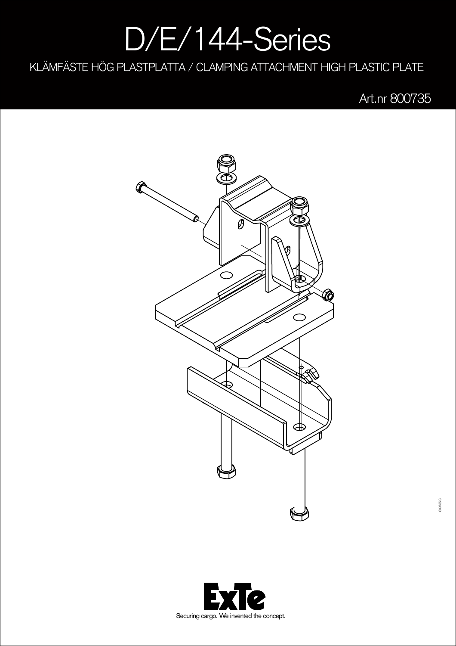## D/E/144-Series

KLÄMFÄSTE HÖG PLASTPLATTA / CLAMPING ATTACHMENT HIGH PLASTIC PLATE

Art.nr 800735